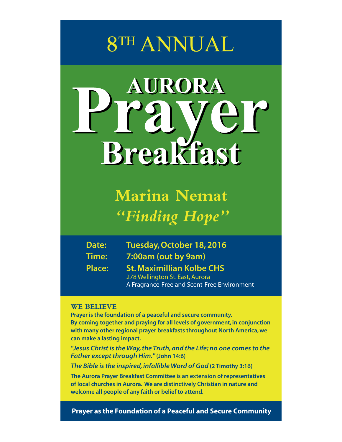# **8TH ANNUAL**

# AURORA **Breakfast**

**Marina Nemat** *"Finding Hope"*

| Date:         | Tuesday, October 18, 2016                   |
|---------------|---------------------------------------------|
| Time:         | 7:00am (out by 9am)                         |
| <b>Place:</b> | <b>St. Maximillian Kolbe CHS</b>            |
|               | 278 Wellington St. East, Aurora             |
|               | A Fragrance-Free and Scent-Free Environment |

#### **WE BELIEVE**

**Prayer is the foundation of a peaceful and secure community. By coming together and praying for all levels of government, in conjunction with many other regional prayer breakfasts throughout North America, we can make a lasting impact.**

**"Jesus Christ is the Way, the Truth, and the Life; no one comes to the Father except through Him."(John 14:6)**

**The Bible is the inspired, infallible Word of God (2 Timothy 3:16)**

**The Aurora Prayer Breakfast Committee is an extension of representatives of local churches in Aurora. We are distinctively Christian in nature and welcome all people of any faith or belief to attend.**

**Prayer as the Foundation of a Peaceful and Secure Community**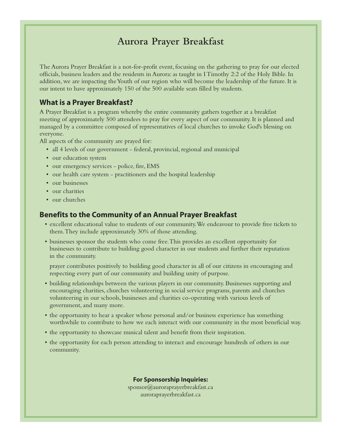## **Aurora Prayer Breakfast**

The Aurora Prayer Breakfast is a not-for-profit event, focusing on the gathering to pray for our elected officials, business leaders and the residents in Aurora: as taught in I Timothy 2:2 of the Holy Bible. In addition, we are impacting the Youth of our region who will become the leadership of the future. It is our intent to have approximately 150 of the 500 available seats filled by students.

#### **What is a Prayer Breakfast?**

A Prayer Breakfast is a program whereby the entire community gathers together at a breakfast meeting of approximately 500 attendees to pray for every aspect of our community. It is planned and managed by a committee composed of representatives of local churches to invoke God's blessing on everyone.

All aspects of the community are prayed for:

- all 4 levels of our government federal, provincial, regional and municipal
- our education system
- our emergency services police, fire, EMS
- our health care system practitioners and the hospital leadership
- our businesses
- our charities
- our churches

#### **Benefits to the Community of an Annual Prayer Breakfast**

- excellent educational value to students of our community. We endeavour to provide free tickets to them. They include approximately 30% of those attending.
- businesses sponsor the students who come free. This provides an excellent opportunity for businesses to contribute to building good character in our students and further their reputation in the community.

prayer contributes positively to building good character in all of our citizens in encouraging and respecting every part of our community and building unity of purpose.

- building relationships between the various players in our community. Businesses supporting and encouraging charities, churches volunteering in social service programs, parents and churches volunteering in our schools, businesses and charities co-operating with various levels of government, and many more.
- the opportunity to hear a speaker whose personal and/or business experience has something worthwhile to contribute to how we each interact with our community in the most beneficial way.
- the opportunity to showcase musical talent and benefit from their inspiration.
- the opportunity for each person attending to interact and encourage hundreds of others in our community.

**For Sponsorship Inquiries:** sponsor@auroraprayerbreakfast.ca auroraprayerbreakfast.ca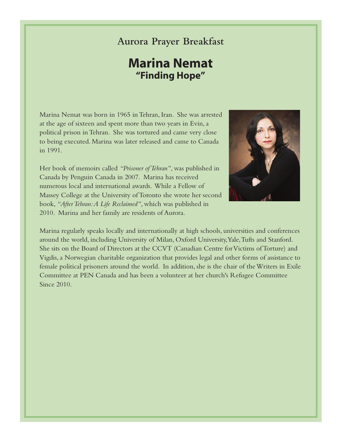### **Aurora Prayer Breakfast**

# **Marina Nemat "Finding Hope"**

Marina Nemat was born in 1965 in Tehran, Iran. She was arrested at the age of sixteen and spent more than two years in Evin, a political prison in Tehran. She was tortured and came very close to being executed. Marina was later released and came to Canada in 1991.

Her book of memoirs called *"Prisoner of Tehran"*, was published in Canada by Penguin Canada in 2007. Marina has received numerous local and international awards. While a Fellow of Massey College at the University of Toronto she wrote her second book, *"After Tehran: A Life Reclaimed"*, which was published in 2010. Marina and her family are residents of Aurora.



Marina regularly speaks locally and internationally at high schools, universities and conferences around the world, including University of Milan, Oxford University, Yale, Tufts and Stanford. She sits on the Board of Directors at the CCVT (Canadian Centre for Victims of Torture) and Vigdis, a Norwegian charitable organization that provides legal and other forms of assistance to female political prisoners around the world. In addition, she is the chair of the Writers in Exile Committee at PEN Canada and has been a volunteer at her church's Refugee Committee Since 2010.